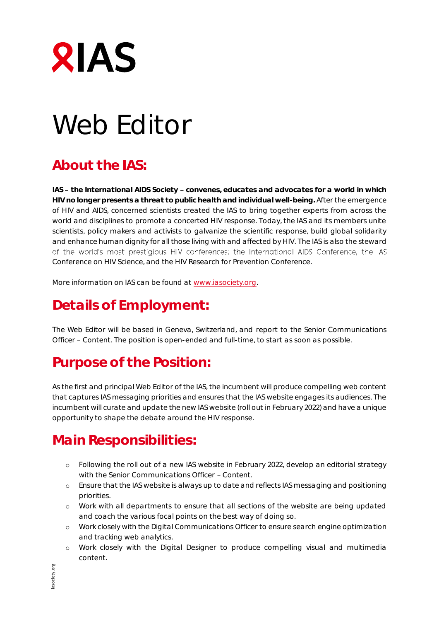

# Web Editor

## **About the IAS:**

IAS - the International AIDS Society - convenes, educates and advocates for a world in which **HIV no longer presents a threat to public health and individual well-being.** After the emergence of HIV and AIDS, concerned scientists created the IAS to bring together experts from across the world and disciplines to promote a concerted HIV response. Today, the IAS and its members unite scientists, policy makers and activists to galvanize the scientific response, build global solidarity and enhance human dignity for all those living with and affected by HIV. The IAS is also the steward of the world's most prestigious HIV conferences: the International AIDS Conference, the IAS Conference on HIV Science, and the HIV Research for Prevention Conference.

More information on IAS can be found at www.iasociety.org.

## **Details of Employment:**

The Web Editor will be based in Geneva, Switzerland, and report to the Senior Communications Officer - Content. The position is open-ended and full-time, to start as soon as possible.

## **Purpose of the Position:**

As the first and principal Web Editor of the IAS, the incumbent will produce compelling web content that captures IAS messaging priorities and ensures that the IAS website engages its audiences. The incumbent will curate and update the new IAS website (roll out in February 2022) and have a unique opportunity to shape the debate around the HIV response.

## **Main Responsibilities:**

- o Following the roll out of a new IAS website in February 2022, develop an editorial strategy with the Senior Communications Officer - Content.
- o Ensure that the IAS website is always up to date and reflects IAS messaging and positioning priorities.
- o Work with all departments to ensure that all sections of the website are being updated and coach the various focal points on the best way of doing so.
- o Work closely with the Digital Communications Officer to ensure search engine optimization and tracking web analytics.
- o Work closely with the Digital Designer to produce compelling visual and multimedia content.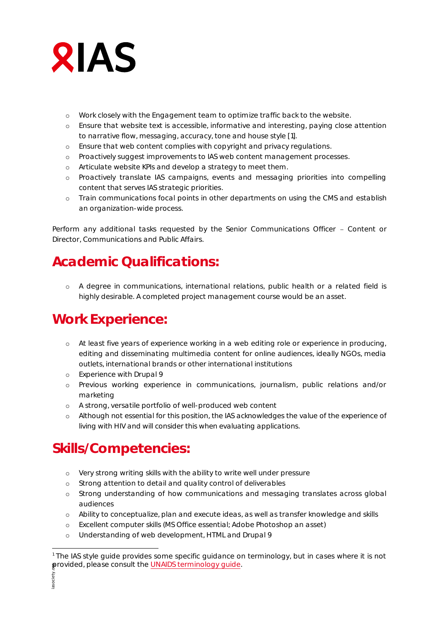

- o Work closely with the Engagement team to optimize traffic back to the website.
- o Ensure that website text is accessible, informative and interesting, paying close attention to narrative flow, messaging, accuracy, tone and house style [1].
- o Ensure that web content complies with copyright and privacy regulations.
- o Proactively suggest improvements to IAS web content management processes.
- o Articulate website KPIs and develop a strategy to meet them.
- o Proactively translate IAS campaigns, events and messaging priorities into compelling content that serves IAS strategic priorities.
- o Train communications focal points in other departments on using the CMS and establish an organization-wide process.

Perform any additional tasks requested by the Senior Communications Officer - Content or Director, Communications and Public Affairs.

#### **Academic Qualifications:**

o A degree in communications, international relations, public health or a related field is highly desirable. A completed project management course would be an asset.

#### **Work Experience:**

- o At least five years of experience working in a web editing role or experience in producing, editing and disseminating multimedia content for online audiences, ideally NGOs, media outlets, international brands or other international institutions
- o Experience with Drupal 9
- o Previous working experience in communications, journalism, public relations and/or marketing
- o A strong, versatile portfolio of well-produced web content
- o Although not essential for this position, the IAS acknowledges the value of the experience of living with HIV and will consider this when evaluating applications.

### **Skills/Competencies:**

- o Very strong writing skills with the ability to write well under pressure
- o Strong attention to detail and quality control of deliverables
- o Strong understanding of how communications and messaging translates across global audiences
- o Ability to conceptualize, plan and execute ideas, as well as transfer knowledge and skills
- o Excellent computer skills (MS Office essential; Adobe Photoshop an asset)
- o Understanding of web development, HTML and Drupal 9

<sup>&</sup>lt;u>.</u> <sup>1</sup> The IAS style quide provides some specific quidance on terminology, but in cases where it is not provided, please consult the UNAIDS terminology guide.